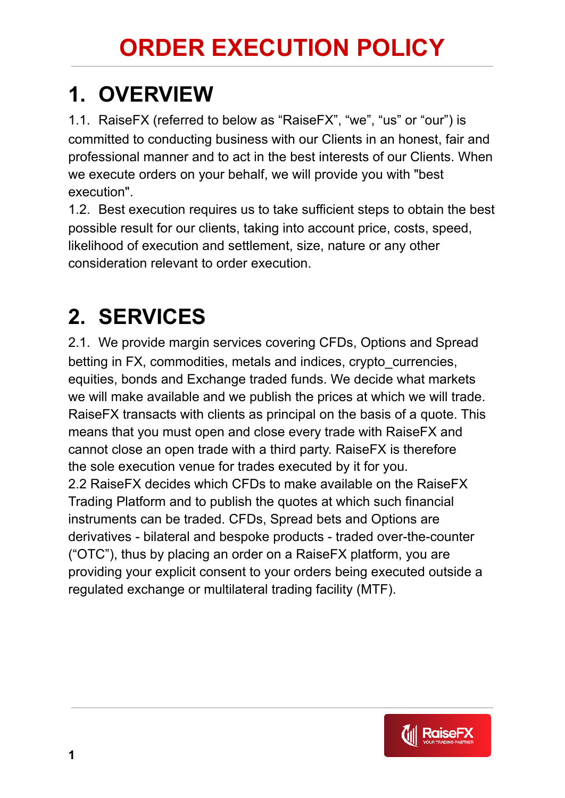## **1. OVERVIEW**

1.1. RaiseFX (referred to below as "RaiseFX", "we", "us" or "our") is committed to conducting business with our Clients in an honest, fair and professional manner and to act in the best interests of our Clients. When we execute orders on your behalf, we will provide you with "best execution".

1.2. Best execution requires us to take sufficient steps to obtain the best possible result for our clients, taking into account price, costs, speed, likelihood of execution and settlement, size, nature or any other consideration relevant to order execution.

### **2. SERVICES**

2.1. We provide margin services covering CFDs, Options and Spread betting in FX, commodities, metals and indices, crypto\_currencies, equities, bonds and Exchange traded funds. We decide what markets we will make available and we publish the prices at which we will trade. RaiseFX transacts with clients as principal on the basis of a quote. This means that you must open and close every trade with RaiseFX and cannot close an open trade with a third party. RaiseFX is therefore the sole execution venue for trades executed by it for you. 2.2 RaiseFX decides which CFDs to make available on the RaiseFX Trading Platform and to publish the quotes at which such financial instruments can be traded. CFDs, Spread bets and Options are derivatives - bilateral and bespoke products - traded over-the-counter ("OTC"), thus by placing an order on a RaiseFX platform, you are providing your explicit consent to your orders being executed outside a regulated exchange or multilateral trading facility (MTF).

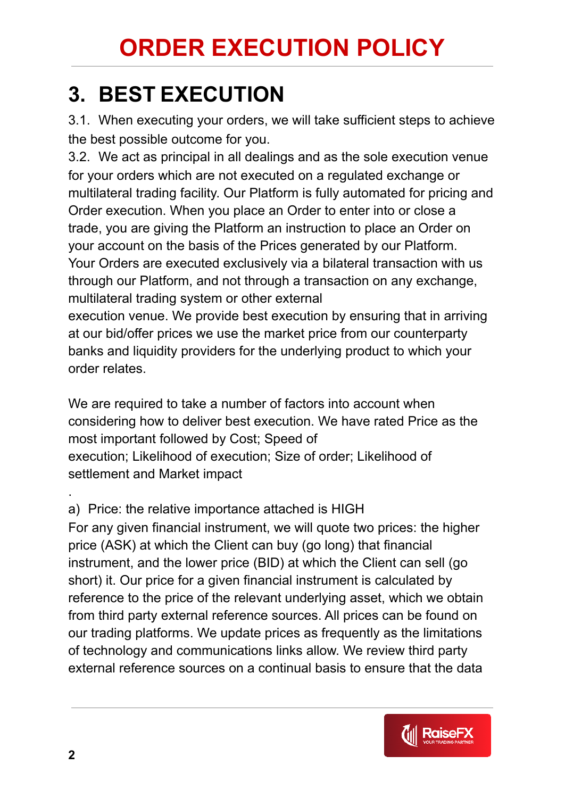#### **3. BEST EXECUTION**

3.1. When executing your orders, we will take sufficient steps to achieve the best possible outcome for you.

3.2. We act as principal in all dealings and as the sole execution venue for your orders which are not executed on a regulated exchange or multilateral trading facility. Our Platform is fully automated for pricing and Order execution. When you place an Order to enter into or close a trade, you are giving the Platform an instruction to place an Order on your account on the basis of the Prices generated by our Platform. Your Orders are executed exclusively via a bilateral transaction with us through our Platform, and not through a transaction on any exchange, multilateral trading system or other external

execution venue. We provide best execution by ensuring that in arriving at our bid/offer prices we use the market price from our counterparty banks and liquidity providers for the underlying product to which your order relates.

We are required to take a number of factors into account when considering how to deliver best execution. We have rated Price as the most important followed by Cost; Speed of execution; Likelihood of execution; Size of order; Likelihood of settlement and Market impact

a) Price: the relative importance attached is HIGH

For any given financial instrument, we will quote two prices: the higher price (ASK) at which the Client can buy (go long) that financial instrument, and the lower price (BID) at which the Client can sell (go short) it. Our price for a given financial instrument is calculated by reference to the price of the relevant underlying asset, which we obtain from third party external reference sources. All prices can be found on our trading platforms. We update prices as frequently as the limitations of technology and communications links allow. We review third party external reference sources on a continual basis to ensure that the data



.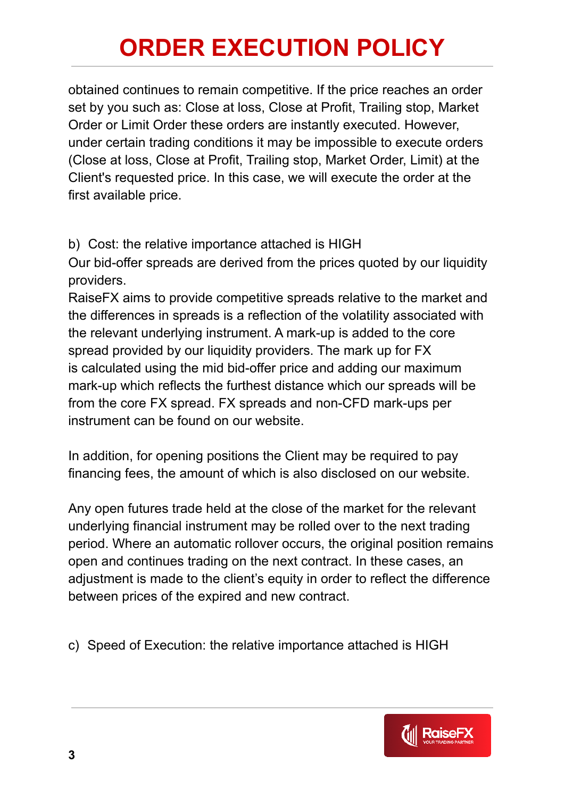obtained continues to remain competitive. If the price reaches an order set by you such as: Close at loss, Close at Profit, Trailing stop, Market Order or Limit Order these orders are instantly executed. However, under certain trading conditions it may be impossible to execute orders (Close at loss, Close at Profit, Trailing stop, Market Order, Limit) at the Client's requested price. In this case, we will execute the order at the first available price.

b) Cost: the relative importance attached is HIGH

Our bid-offer spreads are derived from the prices quoted by our liquidity providers.

RaiseFX aims to provide competitive spreads relative to the market and the differences in spreads is a reflection of the volatility associated with the relevant underlying instrument. A mark-up is added to the core spread provided by our liquidity providers. The mark up for FX is calculated using the mid bid-offer price and adding our maximum mark-up which reflects the furthest distance which our spreads will be from the core FX spread. FX spreads and non-CFD mark-ups per instrument can be found on our website.

In addition, for opening positions the Client may be required to pay financing fees, the amount of which is also disclosed on our website.

Any open futures trade held at the close of the market for the relevant underlying financial instrument may be rolled over to the next trading period. Where an automatic rollover occurs, the original position remains open and continues trading on the next contract. In these cases, an adjustment is made to the client's equity in order to reflect the difference between prices of the expired and new contract.

c) Speed of Execution: the relative importance attached is HIGH

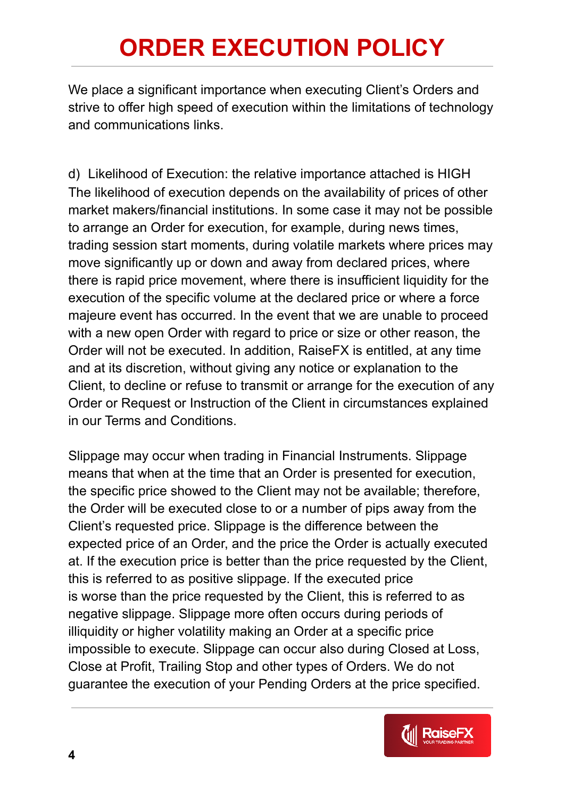We place a significant importance when executing Client's Orders and strive to offer high speed of execution within the limitations of technology and communications links.

d) Likelihood of Execution: the relative importance attached is HIGH The likelihood of execution depends on the availability of prices of other market makers/financial institutions. In some case it may not be possible to arrange an Order for execution, for example, during news times, trading session start moments, during volatile markets where prices may move significantly up or down and away from declared prices, where there is rapid price movement, where there is insufficient liquidity for the execution of the specific volume at the declared price or where a force majeure event has occurred. In the event that we are unable to proceed with a new open Order with regard to price or size or other reason, the Order will not be executed. In addition, RaiseFX is entitled, at any time and at its discretion, without giving any notice or explanation to the Client, to decline or refuse to transmit or arrange for the execution of any Order or Request or Instruction of the Client in circumstances explained in our Terms and Conditions.

Slippage may occur when trading in Financial Instruments. Slippage means that when at the time that an Order is presented for execution, the specific price showed to the Client may not be available; therefore, the Order will be executed close to or a number of pips away from the Client's requested price. Slippage is the difference between the expected price of an Order, and the price the Order is actually executed at. If the execution price is better than the price requested by the Client, this is referred to as positive slippage. If the executed price is worse than the price requested by the Client, this is referred to as negative slippage. Slippage more often occurs during periods of illiquidity or higher volatility making an Order at a specific price impossible to execute. Slippage can occur also during Closed at Loss, Close at Profit, Trailing Stop and other types of Orders. We do not guarantee the execution of your Pending Orders at the price specified.

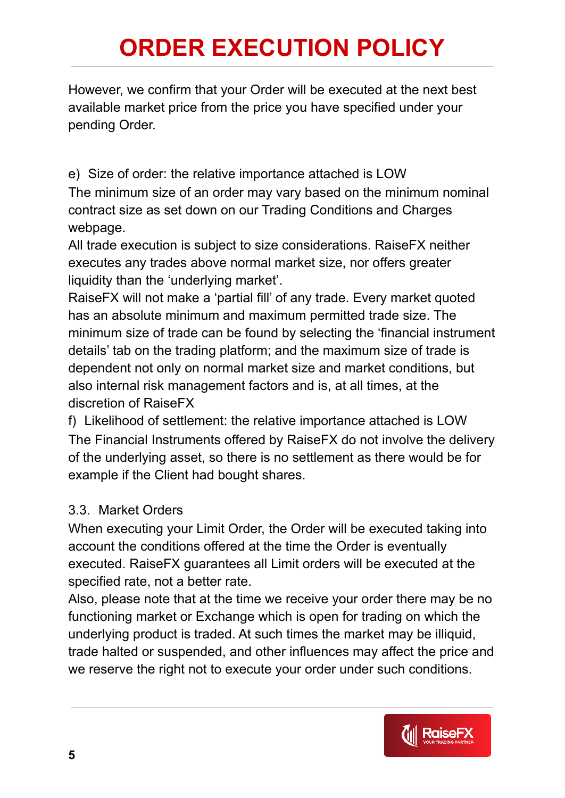However, we confirm that your Order will be executed at the next best available market price from the price you have specified under your pending Order.

e) Size of order: the relative importance attached is LOW

The minimum size of an order may vary based on the minimum nominal contract size as set down on our Trading Conditions and Charges webpage.

All trade execution is subject to size considerations. RaiseFX neither executes any trades above normal market size, nor offers greater liquidity than the 'underlying market'.

RaiseFX will not make a 'partial fill' of any trade. Every market quoted has an absolute minimum and maximum permitted trade size. The minimum size of trade can be found by selecting the 'financial instrument details' tab on the trading platform; and the maximum size of trade is dependent not only on normal market size and market conditions, but also internal risk management factors and is, at all times, at the discretion of RaiseFX

f) Likelihood of settlement: the relative importance attached is LOW The Financial Instruments offered by RaiseFX do not involve the delivery of the underlying asset, so there is no settlement as there would be for example if the Client had bought shares.

#### 3.3. Market Orders

When executing your Limit Order, the Order will be executed taking into account the conditions offered at the time the Order is eventually executed. RaiseFX guarantees all Limit orders will be executed at the specified rate, not a better rate.

Also, please note that at the time we receive your order there may be no functioning market or Exchange which is open for trading on which the underlying product is traded. At such times the market may be illiquid, trade halted or suspended, and other influences may affect the price and we reserve the right not to execute your order under such conditions.

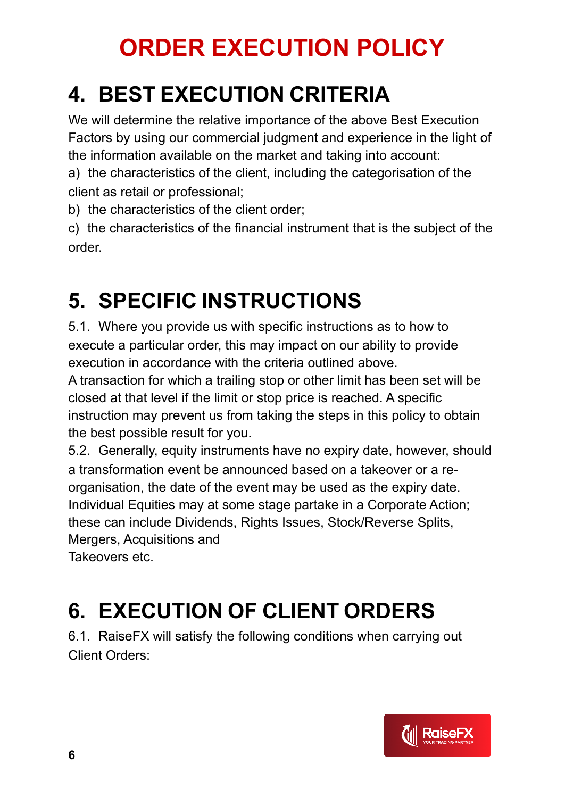### **4. BEST EXECUTION CRITERIA**

We will determine the relative importance of the above Best Execution Factors by using our commercial judgment and experience in the light of the information available on the market and taking into account:

a) the characteristics of the client, including the categorisation of the client as retail or professional;

b) the characteristics of the client order;

c) the characteristics of the financial instrument that is the subject of the order.

#### **5. SPECIFIC INSTRUCTIONS**

5.1. Where you provide us with specific instructions as to how to execute a particular order, this may impact on our ability to provide execution in accordance with the criteria outlined above.

A transaction for which a trailing stop or other limit has been set will be closed at that level if the limit or stop price is reached. A specific instruction may prevent us from taking the steps in this policy to obtain the best possible result for you.

5.2. Generally, equity instruments have no expiry date, however, should a transformation event be announced based on a takeover or a reorganisation, the date of the event may be used as the expiry date. Individual Equities may at some stage partake in a Corporate Action; these can include Dividends, Rights Issues, Stock/Reverse Splits, Mergers, Acquisitions and Takeovers etc.

# **6. EXECUTION OF CLIENT ORDERS**

6.1. RaiseFX will satisfy the following conditions when carrying out Client Orders:

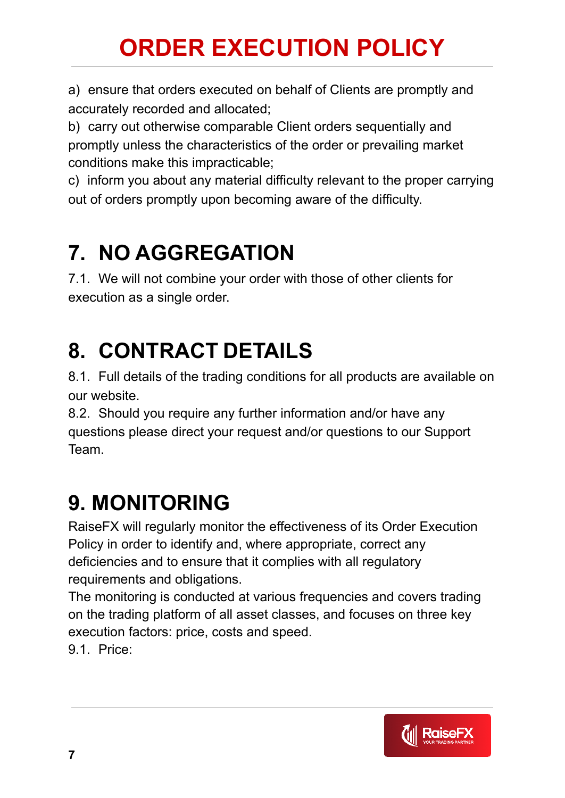a) ensure that orders executed on behalf of Clients are promptly and accurately recorded and allocated;

b) carry out otherwise comparable Client orders sequentially and promptly unless the characteristics of the order or prevailing market conditions make this impracticable;

c) inform you about any material difficulty relevant to the proper carrying out of orders promptly upon becoming aware of the difficulty.

#### **7. NO AGGREGATION**

7.1. We will not combine your order with those of other clients for execution as a single order.

### **8. CONTRACT DETAILS**

8.1. Full details of the trading conditions for all products are available on our website.

8.2. Should you require any further information and/or have any questions please direct your request and/or questions to our Support Team.

#### **9. MONITORING**

RaiseFX will regularly monitor the effectiveness of its Order Execution Policy in order to identify and, where appropriate, correct any deficiencies and to ensure that it complies with all regulatory requirements and obligations.

The monitoring is conducted at various frequencies and covers trading on the trading platform of all asset classes, and focuses on three key execution factors: price, costs and speed.

9.1. Price:

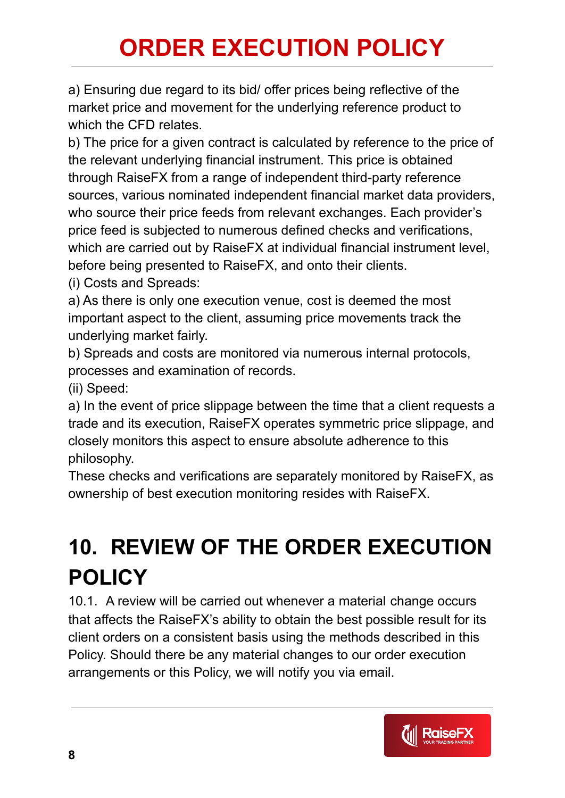a) Ensuring due regard to its bid/ offer prices being reflective of the market price and movement for the underlying reference product to which the CFD relates.

b) The price for a given contract is calculated by reference to the price of the relevant underlying financial instrument. This price is obtained through RaiseFX from a range of independent third-party reference sources, various nominated independent financial market data providers, who source their price feeds from relevant exchanges. Each provider's price feed is subjected to numerous defined checks and verifications, which are carried out by RaiseFX at individual financial instrument level, before being presented to RaiseFX, and onto their clients.

(i) Costs and Spreads:

a) As there is only one execution venue, cost is deemed the most important aspect to the client, assuming price movements track the underlying market fairly.

b) Spreads and costs are monitored via numerous internal protocols, processes and examination of records.

(ii) Speed:

a) In the event of price slippage between the time that a client requests a trade and its execution, RaiseFX operates symmetric price slippage, and closely monitors this aspect to ensure absolute adherence to this philosophy.

These checks and verifications are separately monitored by RaiseFX, as ownership of best execution monitoring resides with RaiseFX.

## **10. REVIEW OF THE ORDER EXECUTION POLICY**

10.1. A review will be carried out whenever a material change occurs that affects the RaiseFX's ability to obtain the best possible result for its client orders on a consistent basis using the methods described in this Policy. Should there be any material changes to our order execution arrangements or this Policy, we will notify you via email.